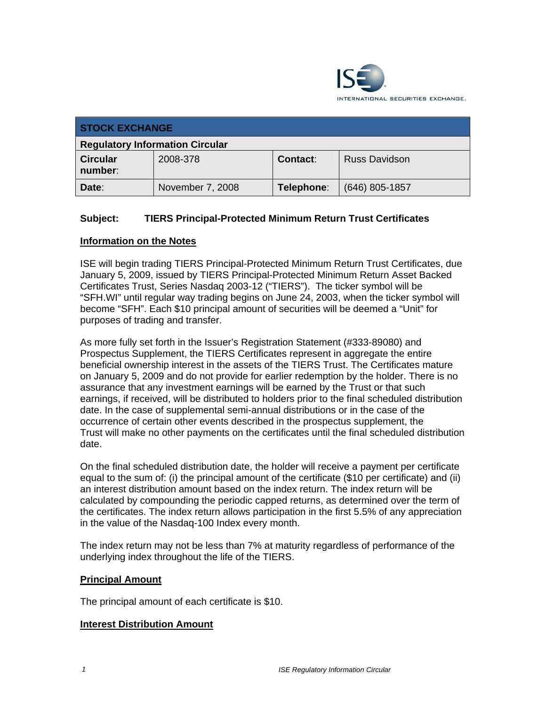

| <b>STOCK EXCHANGE</b>                  |                  |                 |                      |  |  |
|----------------------------------------|------------------|-----------------|----------------------|--|--|
| <b>Regulatory Information Circular</b> |                  |                 |                      |  |  |
| <b>Circular</b><br>number:             | 2008-378         | <b>Contact:</b> | <b>Russ Davidson</b> |  |  |
| Date:                                  | November 7, 2008 | Telephone:      | $(646)$ 805-1857     |  |  |

# **Subject: TIERS Principal-Protected Minimum Return Trust Certificates**

### **Information on the Notes**

ISE will begin trading TIERS Principal-Protected Minimum Return Trust Certificates, due January 5, 2009, issued by TIERS Principal-Protected Minimum Return Asset Backed Certificates Trust, Series Nasdaq 2003-12 ("TIERS"). The ticker symbol will be "SFH.WI" until regular way trading begins on June 24, 2003, when the ticker symbol will become "SFH". Each \$10 principal amount of securities will be deemed a "Unit" for purposes of trading and transfer.

As more fully set forth in the Issuer's Registration Statement (#333-89080) and Prospectus Supplement, the TIERS Certificates represent in aggregate the entire beneficial ownership interest in the assets of the TIERS Trust. The Certificates mature on January 5, 2009 and do not provide for earlier redemption by the holder. There is no assurance that any investment earnings will be earned by the Trust or that such earnings, if received, will be distributed to holders prior to the final scheduled distribution date. In the case of supplemental semi-annual distributions or in the case of the occurrence of certain other events described in the prospectus supplement, the Trust will make no other payments on the certificates until the final scheduled distribution date.

On the final scheduled distribution date, the holder will receive a payment per certificate equal to the sum of: (i) the principal amount of the certificate (\$10 per certificate) and (ii) an interest distribution amount based on the index return. The index return will be calculated by compounding the periodic capped returns, as determined over the term of the certificates. The index return allows participation in the first 5.5% of any appreciation in the value of the Nasdaq-100 Index every month.

The index return may not be less than 7% at maturity regardless of performance of the underlying index throughout the life of the TIERS.

#### **Principal Amount**

The principal amount of each certificate is \$10.

#### **Interest Distribution Amount**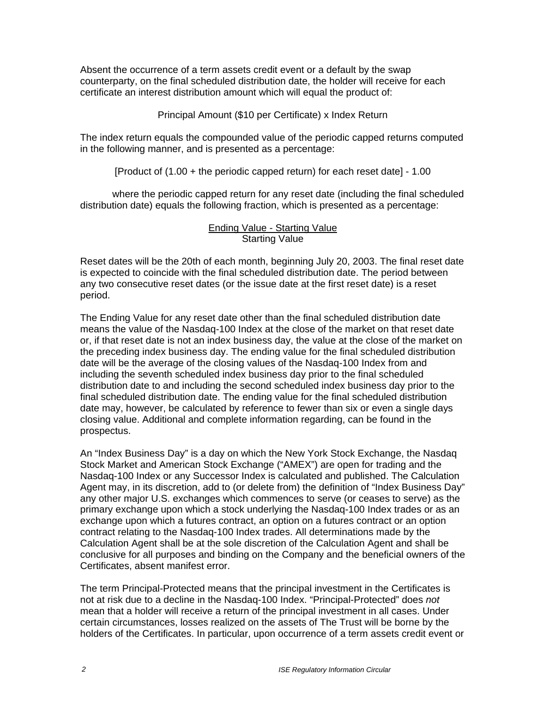Absent the occurrence of a term assets credit event or a default by the swap counterparty, on the final scheduled distribution date, the holder will receive for each certificate an interest distribution amount which will equal the product of:

Principal Amount (\$10 per Certificate) x Index Return

The index return equals the compounded value of the periodic capped returns computed in the following manner, and is presented as a percentage:

[Product of (1.00 + the periodic capped return) for each reset date] - 1.00

where the periodic capped return for any reset date (including the final scheduled distribution date) equals the following fraction, which is presented as a percentage:

#### Ending Value - Starting Value Starting Value

Reset dates will be the 20th of each month, beginning July 20, 2003. The final reset date is expected to coincide with the final scheduled distribution date. The period between any two consecutive reset dates (or the issue date at the first reset date) is a reset period.

The Ending Value for any reset date other than the final scheduled distribution date means the value of the Nasdaq-100 Index at the close of the market on that reset date or, if that reset date is not an index business day, the value at the close of the market on the preceding index business day. The ending value for the final scheduled distribution date will be the average of the closing values of the Nasdaq-100 Index from and including the seventh scheduled index business day prior to the final scheduled distribution date to and including the second scheduled index business day prior to the final scheduled distribution date. The ending value for the final scheduled distribution date may, however, be calculated by reference to fewer than six or even a single days closing value. Additional and complete information regarding, can be found in the prospectus.

An "Index Business Day" is a day on which the New York Stock Exchange, the Nasdaq Stock Market and American Stock Exchange ("AMEX") are open for trading and the Nasdaq-100 Index or any Successor Index is calculated and published. The Calculation Agent may, in its discretion, add to (or delete from) the definition of "Index Business Day" any other major U.S. exchanges which commences to serve (or ceases to serve) as the primary exchange upon which a stock underlying the Nasdaq-100 Index trades or as an exchange upon which a futures contract, an option on a futures contract or an option contract relating to the Nasdaq-100 Index trades. All determinations made by the Calculation Agent shall be at the sole discretion of the Calculation Agent and shall be conclusive for all purposes and binding on the Company and the beneficial owners of the Certificates, absent manifest error.

The term Principal-Protected means that the principal investment in the Certificates is not at risk due to a decline in the Nasdaq-100 Index. "Principal-Protected" does *not*  mean that a holder will receive a return of the principal investment in all cases. Under certain circumstances, losses realized on the assets of The Trust will be borne by the holders of the Certificates. In particular, upon occurrence of a term assets credit event or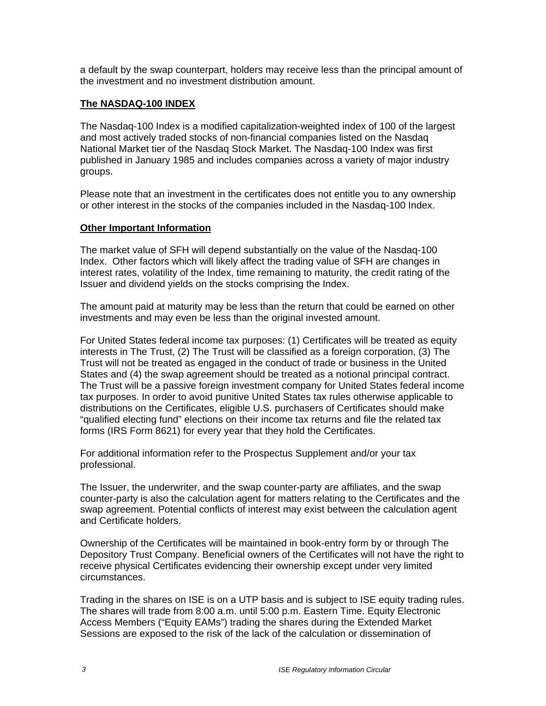a default by the swap counterpart, holders may receive less than the principal amount of the investment and no investment distribution amount.

## **The NASDAQ-100 INDEX**

The Nasdaq-100 Index is a modified capitalization-weighted index of 100 of the largest and most actively traded stocks of non-financial companies listed on the Nasdaq National Market tier of the Nasdaq Stock Market. The Nasdaq-100 Index was first published in January 1985 and includes companies across a variety of major industry groups.

Please note that an investment in the certificates does not entitle you to any ownership or other interest in the stocks of the companies included in the Nasdaq-100 Index.

### **Other Important Information**

The market value of SFH will depend substantially on the value of the Nasdaq-100 Index. Other factors which will likely affect the trading value of SFH are changes in interest rates, volatility of the Index, time remaining to maturity, the credit rating of the Issuer and dividend yields on the stocks comprising the Index.

The amount paid at maturity may be less than the return that could be earned on other investments and may even be less than the original invested amount.

For United States federal income tax purposes: (1) Certificates will be treated as equity interests in The Trust, (2) The Trust will be classified as a foreign corporation, (3) The Trust will not be treated as engaged in the conduct of trade or business in the United States and (4) the swap agreement should be treated as a notional principal contract. The Trust will be a passive foreign investment company for United States federal income tax purposes. In order to avoid punitive United States tax rules otherwise applicable to distributions on the Certificates, eligible U.S. purchasers of Certificates should make "qualified electing fund" elections on their income tax returns and file the related tax forms (IRS Form 8621) for every year that they hold the Certificates.

For additional information refer to the Prospectus Supplement and/or your tax professional.

The Issuer, the underwriter, and the swap counter-party are affiliates, and the swap counter-party is also the calculation agent for matters relating to the Certificates and the swap agreement. Potential conflicts of interest may exist between the calculation agent and Certificate holders.

Ownership of the Certificates will be maintained in book-entry form by or through The Depository Trust Company. Beneficial owners of the Certificates will not have the right to receive physical Certificates evidencing their ownership except under very limited circumstances.

Trading in the shares on ISE is on a UTP basis and is subject to ISE equity trading rules. The shares will trade from 8:00 a.m. until 5:00 p.m. Eastern Time. Equity Electronic Access Members ("Equity EAMs") trading the shares during the Extended Market Sessions are exposed to the risk of the lack of the calculation or dissemination of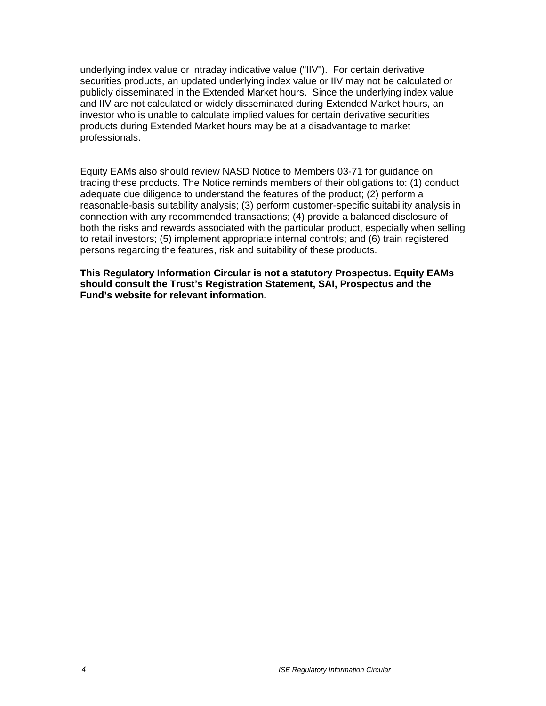underlying index value or intraday indicative value ("IIV"). For certain derivative securities products, an updated underlying index value or IIV may not be calculated or publicly disseminated in the Extended Market hours. Since the underlying index value and IIV are not calculated or widely disseminated during Extended Market hours, an investor who is unable to calculate implied values for certain derivative securities products during Extended Market hours may be at a disadvantage to market professionals.

Equity EAMs also should review NASD Notice to Members 03-71 for guidance on trading these products. The Notice reminds members of their obligations to: (1) conduct adequate due diligence to understand the features of the product; (2) perform a reasonable-basis suitability analysis; (3) perform customer-specific suitability analysis in connection with any recommended transactions; (4) provide a balanced disclosure of both the risks and rewards associated with the particular product, especially when selling to retail investors; (5) implement appropriate internal controls; and (6) train registered persons regarding the features, risk and suitability of these products.

**This Regulatory Information Circular is not a statutory Prospectus. Equity EAMs should consult the Trust's Registration Statement, SAI, Prospectus and the Fund's website for relevant information.**